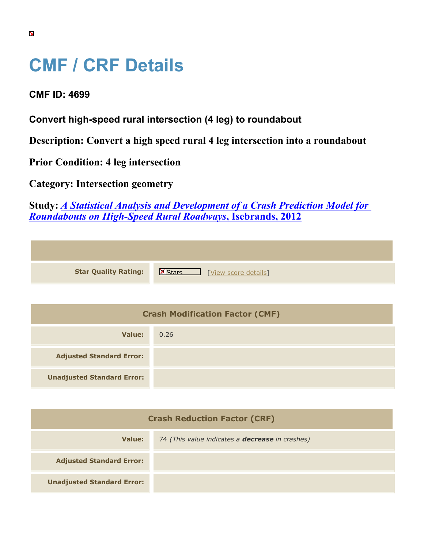## **CMF / CRF Details**

**CMF ID: 4699**

**Convert high-speed rural intersection (4 leg) to roundabout**

**Description: Convert a high speed rural 4 leg intersection into a roundabout**

**Prior Condition: 4 leg intersection**

**Category: Intersection geometry**

**Study:** *[A Statistical Analysis and Development of a Crash Prediction Model for](https://cmfclearinghouse.org/study_detail.cfm?stid=304) [Roundabouts on High-Speed Rural Roadways](https://cmfclearinghouse.org/study_detail.cfm?stid=304)***[, Isebrands, 2012](https://cmfclearinghouse.org/study_detail.cfm?stid=304)**

| <b>Star Quality Rating:</b> | $\mathbb{R}$<br>[View score details] |
|-----------------------------|--------------------------------------|

| <b>Crash Modification Factor (CMF)</b> |      |
|----------------------------------------|------|
| Value:                                 | 0.26 |
| <b>Adjusted Standard Error:</b>        |      |
| <b>Unadjusted Standard Error:</b>      |      |

| <b>Crash Reduction Factor (CRF)</b> |                                                        |
|-------------------------------------|--------------------------------------------------------|
| Value:                              | 74 (This value indicates a <b>decrease</b> in crashes) |
| <b>Adjusted Standard Error:</b>     |                                                        |
| <b>Unadjusted Standard Error:</b>   |                                                        |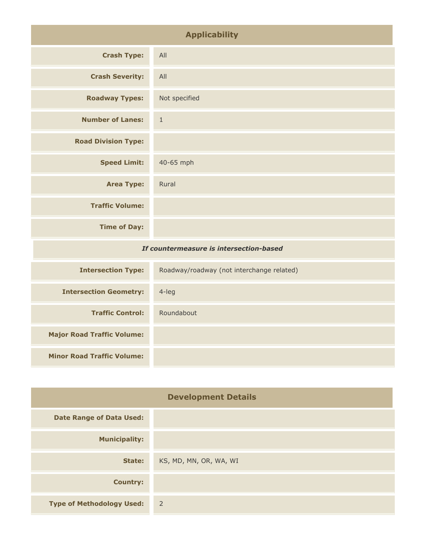| <b>Applicability</b>                    |               |
|-----------------------------------------|---------------|
| <b>Crash Type:</b>                      | All           |
| <b>Crash Severity:</b>                  | All           |
| <b>Roadway Types:</b>                   | Not specified |
| <b>Number of Lanes:</b>                 | $\mathbf{1}$  |
| <b>Road Division Type:</b>              |               |
| <b>Speed Limit:</b>                     | 40-65 mph     |
| <b>Area Type:</b>                       | Rural         |
| <b>Traffic Volume:</b>                  |               |
| <b>Time of Day:</b>                     |               |
| If countermeasure is intersection-based |               |
|                                         |               |

| <b>Intersection Type:</b>         | Roadway/roadway (not interchange related) |
|-----------------------------------|-------------------------------------------|
| <b>Intersection Geometry:</b>     | $4$ -leg                                  |
| <b>Traffic Control:</b>           | Roundabout                                |
| <b>Major Road Traffic Volume:</b> |                                           |
| <b>Minor Road Traffic Volume:</b> |                                           |

| <b>Development Details</b>       |                        |
|----------------------------------|------------------------|
| <b>Date Range of Data Used:</b>  |                        |
| <b>Municipality:</b>             |                        |
| State:                           | KS, MD, MN, OR, WA, WI |
| <b>Country:</b>                  |                        |
| <b>Type of Methodology Used:</b> | $\sim$ 2               |